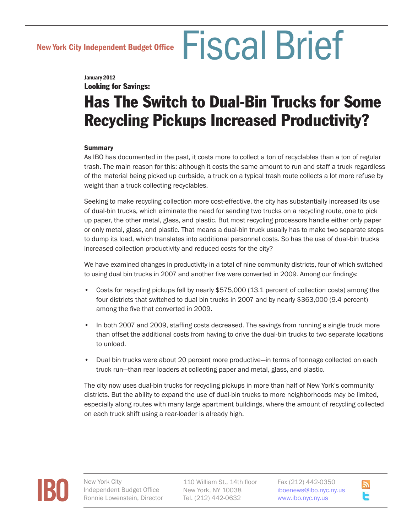New York City Independent Budget Office Fiscal Brief

January 2012 Looking for Savings:

# Has The Switch to Dual-Bin Trucks for Some Recycling Pickups Increased Productivity?

# **Summary**

As IBO has documented in the past, it costs more to collect a ton of recyclables than a ton of regular trash. The main reason for this: although it costs the same amount to run and staff a truck regardless of the material being picked up curbside, a truck on a typical trash route collects a lot more refuse by weight than a truck collecting recyclables.

Seeking to make recycling collection more cost-effective, the city has substantially increased its use of dual-bin trucks, which eliminate the need for sending two trucks on a recycling route, one to pick up paper, the other metal, glass, and plastic. But most recycling processors handle either only paper or only metal, glass, and plastic. That means a dual-bin truck usually has to make two separate stops to dump its load, which translates into additional personnel costs. So has the use of dual-bin trucks increased collection productivity and reduced costs for the city?

We have examined changes in productivity in a total of nine community districts, four of which switched to using dual bin trucks in 2007 and another five were converted in 2009. Among our findings:

- Costs for recycling pickups fell by nearly \$575,000 (13.1 percent of collection costs) among the four districts that switched to dual bin trucks in 2007 and by nearly \$363,000 (9.4 percent) among the five that converted in 2009.
- In both 2007 and 2009, staffing costs decreased. The savings from running a single truck more than offset the additional costs from having to drive the dual-bin trucks to two separate locations to unload.
- Dual bin trucks were about 20 percent more productive—in terms of tonnage collected on each truck run—than rear loaders at collecting paper and metal, glass, and plastic.

The city now uses dual-bin trucks for recycling pickups in more than half of New York's community districts. But the ability to expand the use of dual-bin trucks to more neighborhoods may be limited, especially along routes with many large apartment buildings, where the amount of recycling collected on each truck shift using a rear-loader is already high.



New York City Independent Budget Office Ronnie Lowenstein, Director

110 William St., 14th floor New York, NY 10038 Tel. (212) 442-0632

Fax (212) 442-0350 i[boenews@ibo.nyc.ny.us](mailto:iboenews@ibo.nyc.ny.us) <www.ibo.nyc.ny.us>

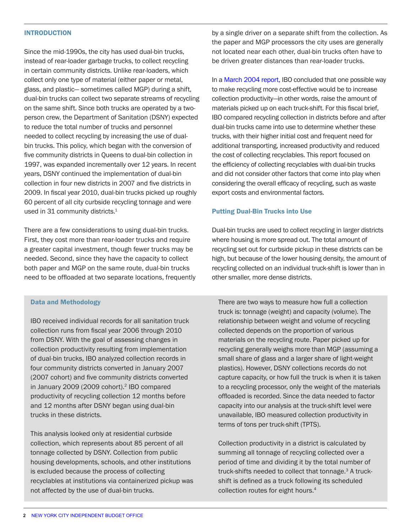## INTRODUCTION

Since the mid-1990s, the city has used dual-bin trucks, instead of rear-loader garbage trucks, to collect recycling in certain community districts. Unlike rear-loaders, which collect only one type of material (either paper or metal, glass, and plastic— sometimes called MGP) during a shift, dual-bin trucks can collect two separate streams of recycling on the same shift. Since both trucks are operated by a twoperson crew, the Department of Sanitation (DSNY) expected to reduce the total number of trucks and personnel needed to collect recycling by increasing the use of dualbin trucks. This policy, which began with the conversion of five community districts in Queens to dual-bin collection in 1997, was expanded incrementally over 12 years. In recent years, DSNY continued the implementation of dual-bin collection in four new districts in 2007 and five districts in 2009. In fiscal year 2010, dual-bin trucks picked up roughly 60 percent of all city curbside recycling tonnage and were used in 31 community districts.<sup>1</sup>

There are a few considerations to using dual-bin trucks. First, they cost more than rear-loader trucks and require a greater capital investment, though fewer trucks may be needed. Second, since they have the capacity to collect both paper and MGP on the same route, dual-bin trucks need to be offloaded at two separate locations, frequently

#### Data and Methodology

IBO received individual records for all sanitation truck collection runs from fiscal year 2006 through 2010 from DSNY. With the goal of assessing changes in collection productivity resulting from implementation of dual-bin trucks, IBO analyzed collection records in four community districts converted in January 2007 (2007 cohort) and five community districts converted in January 2009 (2009 cohort).<sup>2</sup> IBO compared productivity of recycling collection 12 months before and 12 months after DSNY began using dual-bin trucks in these districts.

This analysis looked only at residential curbside collection, which represents about 85 percent of all tonnage collected by DSNY. Collection from public housing developments, schools, and other institutions is excluded because the process of collecting recyclables at institutions via containerized pickup was not affected by the use of dual-bin trucks.

by a single driver on a separate shift from the collection. As the paper and MGP processors the city uses are generally not located near each other, dual-bin trucks often have to be driven greater distances than rear-loader trucks.

In a [March 2004 report](http://www.ibo.nyc.ny.us/iboreports/recyclingtestiMarch04.pdf), IBO concluded that one possible way to make recycling more cost-effective would be to increase collection productivity—in other words, raise the amount of materials picked up on each truck-shift. For this fiscal brief, IBO compared recycling collection in districts before and after dual-bin trucks came into use to determine whether these trucks, with their higher initial cost and frequent need for additional transporting, increased productivity and reduced the cost of collecting recyclables. This report focused on the efficiency of collecting recyclables with dual-bin trucks and did not consider other factors that come into play when considering the overall efficacy of recycling, such as waste export costs and environmental factors.

## Putting Dual-Bin Trucks into Use

Dual-bin trucks are used to collect recycling in larger districts where housing is more spread out. The total amount of recycling set out for curbside pickup in these districts can be high, but because of the lower housing density, the amount of recycling collected on an individual truck-shift is lower than in other smaller, more dense districts.

There are two ways to measure how full a collection truck is: tonnage (weight) and capacity (volume). The relationship between weight and volume of recycling collected depends on the proportion of various materials on the recycling route. Paper picked up for recycling generally weighs more than MGP (assuming a small share of glass and a larger share of light-weight plastics). However, DSNY collections records do not capture capacity, or how full the truck is when it is taken to a recycling processor, only the weight of the materials offloaded is recorded. Since the data needed to factor capacity into our analysis at the truck-shift level were unavailable, IBO measured collection productivity in terms of tons per truck-shift (TPTS).

Collection productivity in a district is calculated by summing all tonnage of recycling collected over a period of time and dividing it by the total number of truck-shifts needed to collect that tonnage.3 A truckshift is defined as a truck following its scheduled collection routes for eight hours.4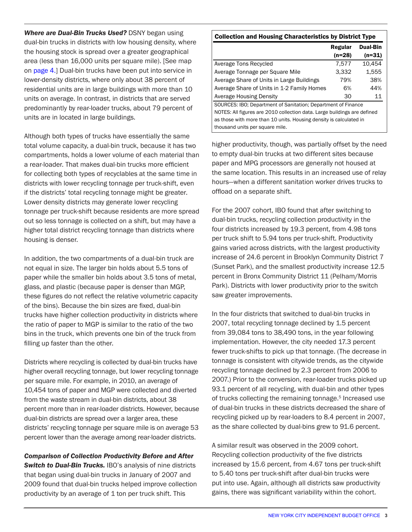*Where are Dual-Bin Trucks Used?* DSNY began using dual-bin trucks in districts with low housing density, where the housing stock is spread over a greater geographical area (less than 16,000 units per square mile). [See map on [page 4](#page-3-0).] Dual-bin trucks have been put into service in lower-density districts, where only about 38 percent of residential units are in large buildings with more than 10 units on average. In contrast, in districts that are served predominantly by rear-loader trucks, about 79 percent of units are in located in large buildings.

Although both types of trucks have essentially the same total volume capacity, a dual-bin truck, because it has two compartments, holds a lower volume of each material than a rear-loader. That makes dual-bin trucks more efficient for collecting both types of recyclables at the same time in districts with lower recycling tonnage per truck-shift, even if the districts' total recycling tonnage might be greater*.* Lower density districts may generate lower recycling tonnage per truck-shift because residents are more spread out so less tonnage is collected on a shift, but may have a higher total district recycling tonnage than districts where housing is denser.

In addition, the two compartments of a dual-bin truck are not equal in size. The larger bin holds about 5.5 tons of paper while the smaller bin holds about 3.5 tons of metal, glass, and plastic (because paper is denser than MGP, these figures do not reflect the relative volumetric capacity of the bins). Because the bin sizes are fixed, dual-bin trucks have higher collection productivity in districts where the ratio of paper to MGP is similar to the ratio of the two bins in the truck, which prevents one bin of the truck from filling up faster than the other.

Districts where recycling is collected by dual-bin trucks have higher overall recycling tonnage, but lower recycling tonnage per square mile. For example, in 2010, an average of 10,454 tons of paper and MGP were collected and diverted from the waste stream in dual-bin districts, about 38 percent more than in rear-loader districts. However, because dual-bin districts are spread over a larger area, these districts' recycling tonnage per square mile is on average 53 percent lower than the average among rear-loader districts.

*Comparison of Collection Productivity Before and After*  **Switch to Dual-Bin Trucks.** IBO's analysis of nine districts that began using dual-bin trucks in January of 2007 and 2009 found that dual-bin trucks helped improve collection productivity by an average of 1 ton per truck shift. This

## Collection and Housing Characteristics by District Type

|                                                                          | <b>Regular</b> | <b>Dual-Bin</b> |
|--------------------------------------------------------------------------|----------------|-----------------|
|                                                                          | $(n=28)$       | $(n=31)$        |
| Average Tons Recycled                                                    | 7,577          | 10,454          |
| Average Tonnage per Square Mile                                          | 3.332          | 1,555           |
| Average Share of Units in Large Buildings                                | 79%            | 38%             |
| Average Share of Units in 1-2 Family Homes                               | 6%             | 44%             |
| Average Housing Density                                                  | 30             | 11              |
| SOURCES: IBO; Department of Sanitation; Department of Finance            |                |                 |
| NOTES: All figures are 2010 collection data. Large buildings are defined |                |                 |
| as those with more than 10 units. Housing density is calculated in       |                |                 |
| thousand units per square mile.                                          |                |                 |

higher productivity, though, was partially offset by the need to empty dual-bin trucks at two different sites because paper and MPG processors are generally not housed at the same location. This results in an increased use of relay hours—when a different sanitation worker drives trucks to offload on a separate shift.

For the 2007 cohort, IBO found that after switching to dual-bin trucks, recycling collection productivity in the four districts increased by 19.3 percent, from 4.98 tons per truck shift to 5.94 tons per truck-shift. Productivity gains varied across districts, with the largest productivity increase of 24.6 percent in Brooklyn Community District 7 (Sunset Park), and the smallest productivity increase 12.5 percent in Bronx Community District 11 (Pelham/Morris Park). Districts with lower productivity prior to the switch saw greater improvements.

In the four districts that switched to dual-bin trucks in 2007, total recycling tonnage declined by 1.5 percent from 39,084 tons to 38,490 tons, in the year following implementation. However, the city needed 17.3 percent fewer truck-shifts to pick up that tonnage. (The decrease in tonnage is consistent with citywide trends, as the citywide recycling tonnage declined by 2.3 percent from 2006 to 2007.) Prior to the conversion, rear-loader trucks picked up 93.1 percent of all recycling, with dual-bin and other types of trucks collecting the remaining tonnage.<sup>5</sup> Increased use of dual-bin trucks in these districts decreased the share of recycling picked up by rear-loaders to 8.4 percent in 2007, as the share collected by dual-bins grew to 91.6 percent.

A similar result was observed in the 2009 cohort. Recycling collection productivity of the five districts increased by 15.6 percent, from 4.67 tons per truck-shift to 5.40 tons per truck-shift after dual-bin trucks were put into use. Again, although all districts saw productivity gains, there was significant variability within the cohort.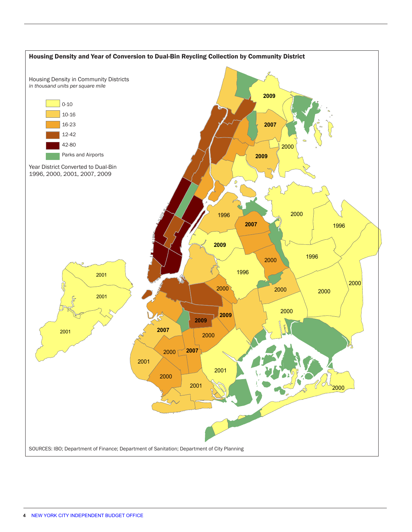<span id="page-3-0"></span>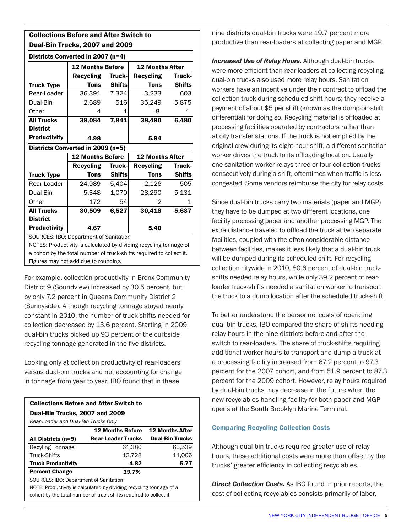# Collections Before and After Switch to Dual-Bin Trucks, 2007 and 2009

| Districts Converted in 2007 (n=4)      |                                  |               |                        |               |  |
|----------------------------------------|----------------------------------|---------------|------------------------|---------------|--|
|                                        | <b>12 Months Before</b>          |               | <b>12 Months After</b> |               |  |
|                                        | <b>Recycling</b>                 | Truck-        | <b>Recycling</b>       | Truck-        |  |
| <b>Truck Type</b>                      | <b>Tons</b>                      | <b>Shifts</b> | <b>Tons</b>            | Shifts        |  |
| Rear-Loader                            | 36,391                           | 7,324         | 3,233                  | 603           |  |
| Dual-Bin                               | 2,689                            | 516           | 35,249                 | 5,875         |  |
| Other                                  | 4                                | 1             | 8                      | 1             |  |
| <b>All Trucks</b>                      | 39,084                           | 7,841         | 38,490                 | 6,480         |  |
| <b>District</b>                        |                                  |               |                        |               |  |
| <b>Productivity</b>                    | 4.98                             |               | 5.94                   |               |  |
| Districts Converted in 2009 (n=5)      |                                  |               |                        |               |  |
|                                        | <b>12 Months Before</b>          |               | <b>12 Months After</b> |               |  |
|                                        | Recycling<br>Recycling<br>Truck- |               | Truck-                 |               |  |
| <b>Truck Type</b>                      | <b>Tons</b>                      | <b>Shifts</b> | <b>Tons</b>            | <b>Shifts</b> |  |
| Rear-Loader                            | 24.989                           | 5,404         | 2,126                  | 505           |  |
| Dual-Bin                               | 5,348                            | 1,070         | 28,290                 | 5,131         |  |
| Other                                  | 172                              | 54            | 2                      | 1             |  |
| <b>All Trucks</b>                      | 30,509                           | 6,527         | 30,418                 | 5,637         |  |
| <b>District</b>                        |                                  |               |                        |               |  |
| <b>Productivity</b>                    | 4.67                             |               | 5.40                   |               |  |
| SOURCES: IBO; Department of Sanitation |                                  |               |                        |               |  |

NOTES: Productivity is calculated by dividing recycling tonnage of a cohort by the total number of truck-shifts required to collect it. Figures may not add due to rounding.

For example, collection productivity in Bronx Community District 9 (Soundview) increased by 30.5 percent, but by only 7.2 percent in Queens Community District 2 (Sunnyside). Although recycling tonnage stayed nearly constant in 2010, the number of truck-shifts needed for collection decreased by 13.6 percent. Starting in 2009, dual-bin trucks picked up 93 percent of the curbside recycling tonnage generated in the five districts.

Looking only at collection productivity of rear-loaders versus dual-bin trucks and not accounting for change in tonnage from year to year, IBO found that in these

| <b>Collections Before and After Switch to</b> |  |  |  |  |
|-----------------------------------------------|--|--|--|--|
| Dual-Bin Trucks, 2007 and 2009                |  |  |  |  |
| Rear-Loader and Dual-Bin Trucks Only          |  |  |  |  |

|                                                                     | <b>12 Months Before</b>   | <b>12 Months After</b> |  |  |
|---------------------------------------------------------------------|---------------------------|------------------------|--|--|
| All Districts (n=9)                                                 | <b>Rear-Loader Trucks</b> | <b>Dual-Bin Trucks</b> |  |  |
| Recyling Tonnage                                                    | 61,380                    | 63,539                 |  |  |
| <b>Truck-Shifts</b>                                                 | 12,728                    | 11,006                 |  |  |
| <b>Truck Productivity</b>                                           | 4.82                      | 5.77                   |  |  |
| <b>Percent Change</b>                                               | 19.7%                     |                        |  |  |
| SOURCES: IBO; Department of Sanitation                              |                           |                        |  |  |
| NOTE: Productivity is calculated by dividing recycling tonnage of a |                           |                        |  |  |

cohort by the total number of truck-shifts required to collect it.

nine districts dual-bin trucks were 19.7 percent more productive than rear-loaders at collecting paper and MGP.

*Increased Use of Relay Hours.* Although dual-bin trucks were more efficient than rear-loaders at collecting recycling, dual-bin trucks also used more relay hours. Sanitation workers have an incentive under their contract to offload the collection truck during scheduled shift hours; they receive a payment of about \$5 per shift (known as the dump-on-shift differential) for doing so. Recycling material is offloaded at processing facilities operated by contractors rather than at city transfer stations. If the truck is not emptied by the original crew during its eight-hour shift, a different sanitation worker drives the truck to its offloading location. Usually one sanitation worker relays three or four collection trucks consecutively during a shift, oftentimes when traffic is less congested. Some vendors reimburse the city for relay costs.

Since dual-bin trucks carry two materials (paper and MGP) they have to be dumped at two different locations, one facility processing paper and another processing MGP. The extra distance traveled to offload the truck at two separate facilities, coupled with the often considerable distance between facilities, makes it less likely that a dual-bin truck will be dumped during its scheduled shift. For recycling collection citywide in 2010, 80.6 percent of dual-bin truckshifts needed relay hours, while only 39.2 percent of rearloader truck-shifts needed a sanitation worker to transport the truck to a dump location after the scheduled truck-shift.

To better understand the personnel costs of operating dual-bin trucks, IBO compared the share of shifts needing relay hours in the nine districts before and after the switch to rear-loaders. The share of truck-shifts requiring additional worker hours to transport and dump a truck at a processing facility increased from 67.2 percent to 97.3 percent for the 2007 cohort, and from 51.9 percent to 87.3 percent for the 2009 cohort. However, relay hours required by dual-bin trucks may decrease in the future when the new recyclables handling facility for both paper and MGP opens at the South Brooklyn Marine Terminal.

# Comparing Recycling Collection Costs

Although dual-bin trucks required greater use of relay hours, these additional costs were more than offset by the trucks' greater efficiency in collecting recyclables.

*Direct Collection Costs.* As IBO found in prior reports, the cost of collecting recyclables consists primarily of labor,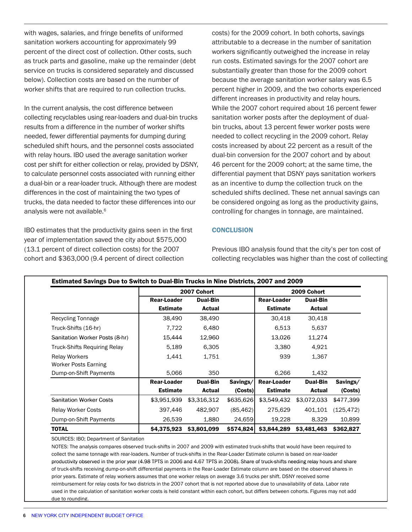with wages, salaries, and fringe benefits of uniformed sanitation workers accounting for approximately 99 percent of the direct cost of collection. Other costs, such as truck parts and gasoline, make up the remainder (debt service on trucks is considered separately and discussed below). Collection costs are based on the number of worker shifts that are required to run collection trucks.

In the current analysis, the cost difference between collecting recyclables using rear-loaders and dual-bin trucks results from a difference in the number of worker shifts needed, fewer differential payments for dumping during scheduled shift hours, and the personnel costs associated with relay hours. IBO used the average sanitation worker cost per shift for either collection or relay, provided by DSNY, to calculate personnel costs associated with running either a dual-bin or a rear-loader truck. Although there are modest differences in the cost of maintaining the two types of trucks, the data needed to factor these differences into our analysis were not available.<sup>6</sup>

IBO estimates that the productivity gains seen in the first year of implementation saved the city about \$575,000 (13.1 percent of direct collection costs) for the 2007 cohort and \$363,000 (9.4 percent of direct collection

costs) for the 2009 cohort. In both cohorts, savings attributable to a decrease in the number of sanitation workers significantly outweighed the increase in relay run costs. Estimated savings for the 2007 cohort are substantially greater than those for the 2009 cohort because the average sanitation worker salary was 6.5 percent higher in 2009, and the two cohorts experienced different increases in productivity and relay hours. While the 2007 cohort required about 16 percent fewer sanitation worker posts after the deployment of dualbin trucks, about 13 percent fewer worker posts were needed to collect recycling in the 2009 cohort. Relay costs increased by about 22 percent as a result of the dual-bin conversion for the 2007 cohort and by about 46 percent for the 2009 cohort; at the same time, the differential payment that DSNY pays sanitation workers as an incentive to dump the collection truck on the scheduled shifts declined. These net annual savings can be considered ongoing as long as the productivity gains, controlling for changes in tonnage, are maintained.

## **CONCLUSION**

Previous IBO analysis found that the city's per ton cost of collecting recyclables was higher than the cost of collecting

|                                              | 2007 Cohort                    |                           |                     | 2009 Cohort                    |                           |                     |
|----------------------------------------------|--------------------------------|---------------------------|---------------------|--------------------------------|---------------------------|---------------------|
|                                              | Rear-Loader<br><b>Estimate</b> | <b>Dual-Bin</b><br>Actual |                     | Rear-Loader<br><b>Estimate</b> | <b>Dual-Bin</b><br>Actual |                     |
| Recycling Tonnage                            | 38,490                         | 38,490                    |                     | 30,418                         | 30,418                    |                     |
| Truck-Shifts (16-hr)                         | 7,722                          | 6,480                     |                     | 6,513                          | 5,637                     |                     |
| Sanitation Worker Posts (8-hr)               | 15,444                         | 12,960                    |                     | 13,026                         | 11,274                    |                     |
| <b>Truck-Shifts Requiring Relay</b>          | 5,189                          | 6,305                     |                     | 3,380                          | 4,921                     |                     |
| <b>Relay Workers</b><br>Worker Posts Earning | 1,441                          | 1,751                     |                     | 939                            | 1,367                     |                     |
| Dump-on-Shift Payments                       | 5,066                          | 350                       |                     | 6,266                          | 1,432                     |                     |
|                                              | Rear-Loader<br><b>Estimate</b> | <b>Dual-Bin</b><br>Actual | Savings/<br>(Costs) | Rear-Loader<br><b>Estimate</b> | <b>Dual-Bin</b><br>Actual | Savings/<br>(Costs) |
| <b>Sanitation Worker Costs</b>               | \$3,951,939                    | \$3,316,312               | \$635,626           | \$3,549,432                    | \$3,072,033               | \$477,399           |
| <b>Relay Worker Costs</b>                    | 397,446                        | 482,907                   | (85, 462)           | 275,629                        | 401,101                   | (125, 472)          |
| Dump-on-Shift Payments                       | 26,539                         | 1,880                     | 24,659              | 19,228                         | 8,329                     | 10,899              |
| <b>TOTAL</b>                                 | \$4,375,923                    | \$3,801,099               | \$574,824           | \$3,844,289                    | \$3,481,463               | \$362,827           |

SOURCES: IBO; Department of Sanitation

NOTES: The analysis compares observed truck-shifts in 2007 and 2009 with estimated truck-shifts that would have been required to collect the same tonnage with rear-loaders. Number of truck-shifts in the Rear-Loader Estimate column is based on rear-loader productivity observed in the prior year (4.98 TPTS in 2006 and 4.67 TPTS in 2008). Share of truck-shifts needing relay hours and share of truck-shifts receiving dump-on-shift differential payments in the Rear-Loader Estimate column are based on the observed shares in prior years. Estimate of relay workers assumes that one worker relays on average 3.6 trucks per shift. DSNY received some reimbursement for relay costs for two districts in the 2007 cohort that is not reported above due to unavailability of data. Labor rate used in the calculation of sanitation worker costs is held constant within each cohort, but differs between cohorts. Figures may not add due to rounding.